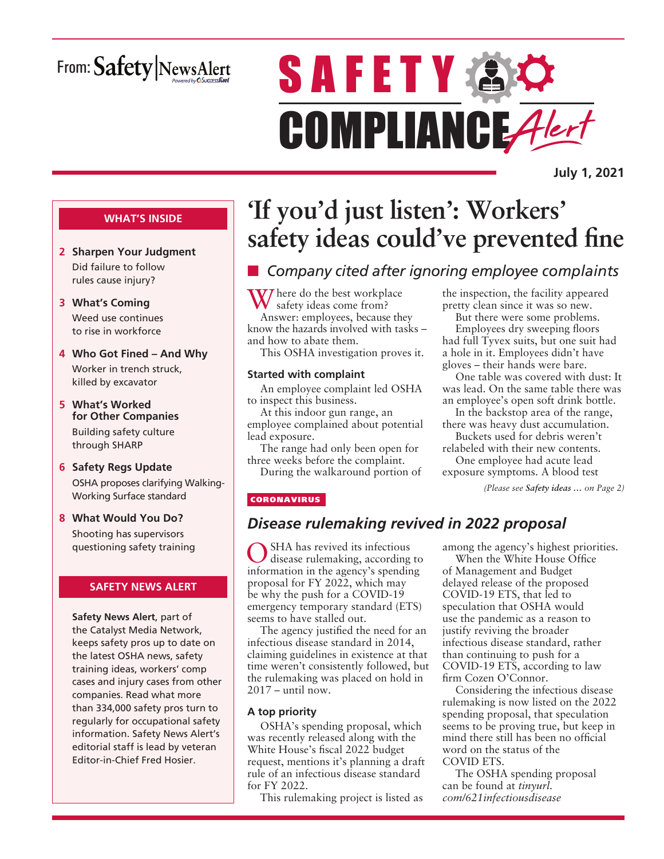# From: Safety NewsAlert

# **SAFETY AC** COMPLIANCE Alert

**July 1, 2021**

### **WHAT'S INSIDE**

- **2 Sharpen Your Judgment** Did failure to follow rules cause injury?
- **3 What's Coming** Weed use continues to rise in workforce
- **4 Who Got Fined And Why** Worker in trench struck, killed by excavator
- **5 What's Worked for Other Companies** Building safety culture through SHARP
- **6 Safety Regs Update** OSHA proposes clarifying Walking-Working Surface standard
- **8 What Would You Do?** Shooting has supervisors questioning safety training

### **SAFETY NEWS ALERT**

**Safety News Alert**, part of the Catalyst Media Network, keeps safety pros up to date on the latest OSHA news, safety training ideas, workers' comp cases and injury cases from other companies. Read what more than 334,000 safety pros turn to regularly for occupational safety information. Safety News Alert's editorial staff is lead by veteran Editor-in-Chief Fred Hosier.

# **'If you'd just listen': Workers' safety ideas could've prevented fine**

# **n** Company cited after ignoring employee complaints

**V** here do the best workplace safety ideas come from? Answer: employees, because they know the hazards involved with tasks – and how to abate them.

This OSHA investigation proves it.

### **Started with complaint**

An employee complaint led OSHA to inspect this business.

At this indoor gun range, an employee complained about potential lead exposure.

The range had only been open for three weeks before the complaint.

During the walkaround portion of

the inspection, the facility appeared pretty clean since it was so new.

But there were some problems. Employees dry sweeping floors had full Tyvex suits, but one suit had a hole in it. Employees didn't have gloves – their hands were bare.

One table was covered with dust: It was lead. On the same table there was an employee's open soft drink bottle.

In the backstop area of the range, there was heavy dust accumulation. Buckets used for debris weren't

relabeled with their new contents. One employee had acute lead

exposure symptoms. A blood test

*(Please see Safety ideas … on Page 2)*

### **CORONAVIRUS**

### *Disease rulemaking revived in 2022 proposal*

OSHA has revived its infectious disease rulemaking, according to information in the agency's spending proposal for FY 2022, which may be why the push for a COVID-19 emergency temporary standard (ETS) seems to have stalled out.

The agency justified the need for an infectious disease standard in 2014, claiming guidelines in existence at that time weren't consistently followed, but the rulemaking was placed on hold in 2017 – until now.

### **A top priority**

OSHA's spending proposal, which was recently released along with the White House's fiscal 2022 budget request, mentions it's planning a draft rule of an infectious disease standard for FY 2022.

This rulemaking project is listed as

among the agency's highest priorities.

When the White House Office of Management and Budget delayed release of the proposed COVID-19 ETS, that led to speculation that OSHA would use the pandemic as a reason to justify reviving the broader infectious disease standard, rather than continuing to push for a COVID-19 ETS, according to law firm Cozen O'Connor.

Considering the infectious disease rulemaking is now listed on the 2022 spending proposal, that speculation seems to be proving true, but keep in mind there still has been no official word on the status of the COVID ETS.

The OSHA spending proposal can be found at *tinyurl. com/621infectiousdisease*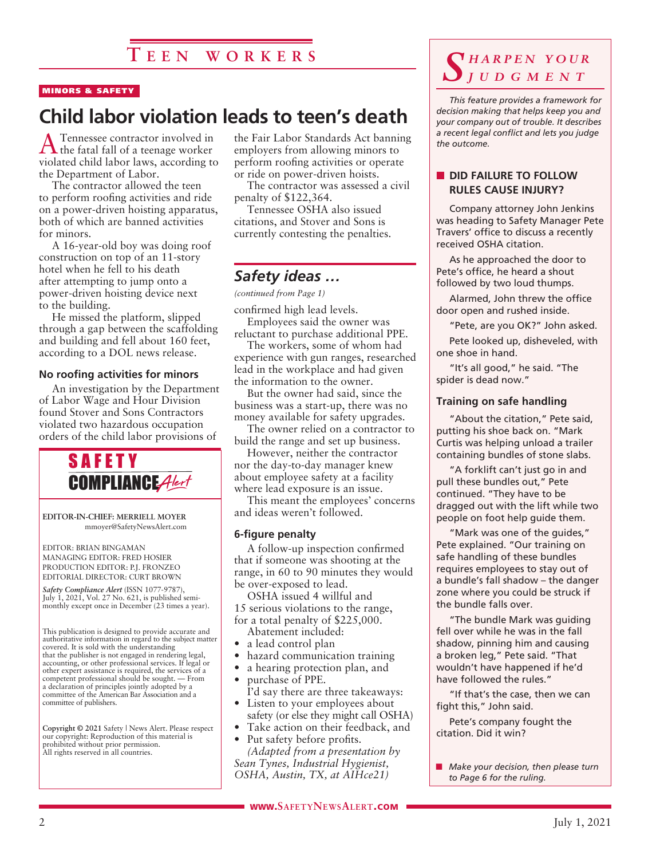#### MINORS & SAFETY

# **Child labor violation leads to teen's death**

A Tennessee contractor involved in the fatal fall of a teenage worker violated child labor laws, according to the Department of Labor.

The contractor allowed the teen to perform roofing activities and ride on a power-driven hoisting apparatus, both of which are banned activities for minors.

A 16-year-old boy was doing roof construction on top of an 11-story hotel when he fell to his death after attempting to jump onto a power-driven hoisting device next to the building.

He missed the platform, slipped through a gap between the scaffolding and building and fell about 160 feet, according to a DOL news release.

### **No roofing activities for minors**

An investigation by the Department of Labor Wage and Hour Division found Stover and Sons Contractors violated two hazardous occupation orders of the child labor provisions of



**EDITOR-IN-CHIEF: MERRIELL MOYER** mmoyer@SafetyNewsAlert.com

EDITOR: BRIAN BINGAMAN MANAGING EDITOR: FRED HOSIER PRODUCTION EDITOR: P.J. FRONZEO EDITORIAL DIRECTOR: CURT BROWN

*Safety Compliance Alert* (ISSN 1077-9787), July 1, 2021, Vol. 27 No. 621, is published semimonthly except once in December (23 times a year).

This publication is designed to provide accurate and authoritative information in regard to the subject matter covered. It is sold with the understanding that the publisher is not engaged in rendering legal, accounting, or other professional services. If legal or other expert assistance is required, the services of a competent professional should be sought. — From a declaration of principles jointly adopted by a committee of the American Bar Association and a committee of publishers.

**Copyright © 2021** Safety | News Alert. Please respect our copyright: Reproduction of this material is prohibited without prior permission. All rights reserved in all countries.

the Fair Labor Standards Act banning employers from allowing minors to perform roofing activities or operate or ride on power-driven hoists.

The contractor was assessed a civil penalty of \$122,364.

Tennessee OSHA also issued citations, and Stover and Sons is currently contesting the penalties.

### *Safety ideas …*

*(continued from Page 1)*

confirmed high lead levels. Employees said the owner was

reluctant to purchase additional PPE.

The workers, some of whom had experience with gun ranges, researched lead in the workplace and had given the information to the owner.

But the owner had said, since the business was a start-up, there was no money available for safety upgrades.

The owner relied on a contractor to build the range and set up business.

However, neither the contractor nor the day-to-day manager knew about employee safety at a facility where lead exposure is an issue.

This meant the employees' concerns and ideas weren't followed.

### **6-figure penalty**

A follow-up inspection confirmed that if someone was shooting at the range, in 60 to 90 minutes they would be over-exposed to lead.

OSHA issued 4 willful and 15 serious violations to the range, for a total penalty of \$225,000.

- Abatement included:
- a lead control plan
- hazard communication training
- a hearing protection plan, and purchase of PPE.
- I'd say there are three takeaways: Listen to your employees about
- safety (or else they might call OSHA)
- Take action on their feedback, and

• Put safety before profits. *(Adapted from a presentation by Sean Tynes, Industrial Hygienist, OSHA, Austin, TX, at AIHce21)*

### *S h a r p e n y o u r j u d g m e n t*

*This feature provides a framework for decision making that helps keep you and your company out of trouble. It describes a recent legal conflict and lets you judge the outcome.*

### **NO DID FAILURE TO FOLLOW RULES CAUSE INJURY?**

Company attorney John Jenkins was heading to Safety Manager Pete Travers' office to discuss a recently received OSHA citation.

As he approached the door to Pete's office, he heard a shout followed by two loud thumps.

Alarmed, John threw the office door open and rushed inside.

"Pete, are you OK?" John asked.

Pete looked up, disheveled, with one shoe in hand.

"It's all good," he said. "The spider is dead now."

### **Training on safe handling**

"About the citation," Pete said, putting his shoe back on. "Mark Curtis was helping unload a trailer containing bundles of stone slabs.

"A forklift can't just go in and pull these bundles out," Pete continued. "They have to be dragged out with the lift while two people on foot help guide them.

"Mark was one of the guides," Pete explained. "Our training on safe handling of these bundles requires employees to stay out of a bundle's fall shadow – the danger zone where you could be struck if the bundle falls over.

"The bundle Mark was guiding fell over while he was in the fall shadow, pinning him and causing a broken leg," Pete said. "That wouldn't have happened if he'd have followed the rules."

"If that's the case, then we can fight this," John said.

Pete's company fought the citation. Did it win?

**n** *Make your decision, then please turn to Page 6 for the ruling.*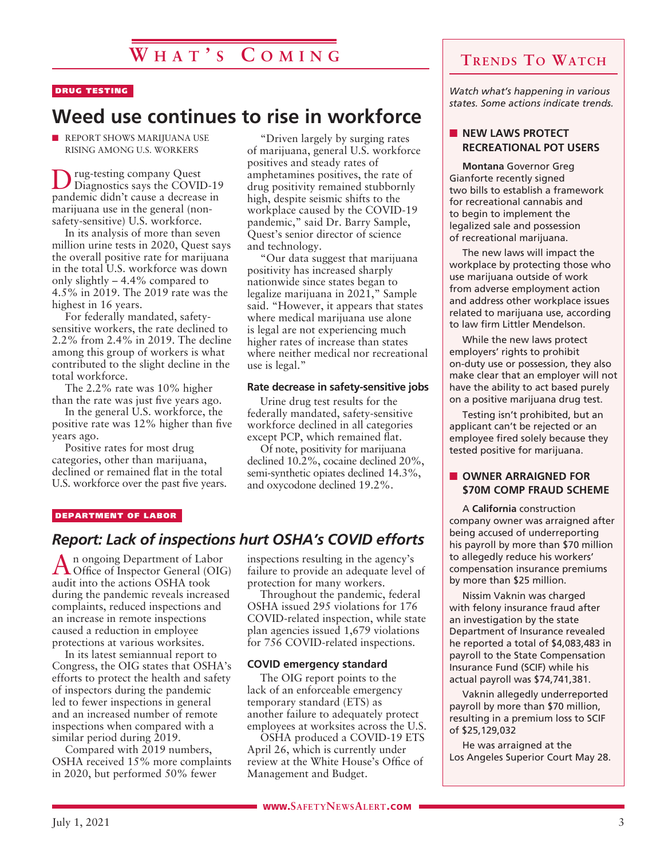### DRUG TESTING

# **Weed use continues to rise in workforce**

 $\blacksquare$  REPORT SHOWS MARIJUANA USE RISING AMONG U.S. WORKERS

Drug-testing company Quest Diagnostics says the COVID-19 pandemic didn't cause a decrease in marijuana use in the general (nonsafety-sensitive) U.S. workforce.

In its analysis of more than seven million urine tests in 2020, Quest says the overall positive rate for marijuana in the total U.S. workforce was down only slightly – 4.4% compared to 4.5% in 2019. The 2019 rate was the highest in 16 years.

For federally mandated, safetysensitive workers, the rate declined to 2.2% from 2.4% in 2019. The decline among this group of workers is what contributed to the slight decline in the total workforce.

The 2.2% rate was 10% higher than the rate was just five years ago.

In the general U.S. workforce, the positive rate was 12% higher than five years ago.

Positive rates for most drug categories, other than marijuana, declined or remained flat in the total U.S. workforce over the past five years.

"Driven largely by surging rates of marijuana, general U.S. workforce positives and steady rates of amphetamines positives, the rate of drug positivity remained stubbornly high, despite seismic shifts to the workplace caused by the COVID-19 pandemic," said Dr. Barry Sample, Quest's senior director of science and technology.

"Our data suggest that marijuana positivity has increased sharply nationwide since states began to legalize marijuana in 2021," Sample said. "However, it appears that states where medical marijuana use alone is legal are not experiencing much higher rates of increase than states where neither medical nor recreational use is legal."

### **Rate decrease in safety-sensitive jobs**

Urine drug test results for the federally mandated, safety-sensitive workforce declined in all categories except PCP, which remained flat.

Of note, positivity for marijuana declined 10.2%, cocaine declined 20%, semi-synthetic opiates declined 14.3%, and oxycodone declined 19.2%.

#### DEPARTMENT OF LABOR

### *Report: Lack of inspections hurt OSHA's COVID efforts*

An ongoing Department of Labor Office of Inspector General (OIG) audit into the actions OSHA took during the pandemic reveals increased complaints, reduced inspections and an increase in remote inspections caused a reduction in employee protections at various worksites.

In its latest semiannual report to Congress, the OIG states that OSHA's efforts to protect the health and safety of inspectors during the pandemic led to fewer inspections in general and an increased number of remote inspections when compared with a similar period during 2019.

Compared with 2019 numbers, OSHA received 15% more complaints in 2020, but performed 50% fewer

inspections resulting in the agency's failure to provide an adequate level of protection for many workers.

Throughout the pandemic, federal OSHA issued 295 violations for 176 COVID-related inspection, while state plan agencies issued 1,679 violations for 756 COVID-related inspections.

#### **COVID emergency standard**

The OIG report points to the lack of an enforceable emergency temporary standard (ETS) as another failure to adequately protect employees at worksites across the U.S.

OSHA produced a COVID-19 ETS April 26, which is currently under review at the White House's Office of Management and Budget.

### **Trends To Watch**

*Watch what's happening in various states. Some actions indicate trends.*

### **NEW LAWS PROTECT RECREATIONAL POT USERS**

**Montana** Governor Greg Gianforte recently signed two bills to establish a framework for recreational cannabis and to begin to implement the legalized sale and possession of recreational marijuana.

The new laws will impact the workplace by protecting those who use marijuana outside of work from adverse employment action and address other workplace issues related to marijuana use, according to law firm Littler Mendelson.

While the new laws protect employers' rights to prohibit on-duty use or possession, they also make clear that an employer will not have the ability to act based purely on a positive marijuana drug test.

Testing isn't prohibited, but an applicant can't be rejected or an employee fired solely because they tested positive for marijuana.

### **N** OWNER ARRAIGNED FOR **\$70M COMP FRAUD SCHEME**

A **California** construction company owner was arraigned after being accused of underreporting his payroll by more than \$70 million to allegedly reduce his workers' compensation insurance premiums by more than \$25 million.

Nissim Vaknin was charged with felony insurance fraud after an investigation by the state Department of Insurance revealed he reported a total of \$4,083,483 in payroll to the State Compensation Insurance Fund (SCIF) while his actual payroll was \$74,741,381.

Vaknin allegedly underreported payroll by more than \$70 million, resulting in a premium loss to SCIF of \$25,129,032

He was arraigned at the Los Angeles Superior Court May 28.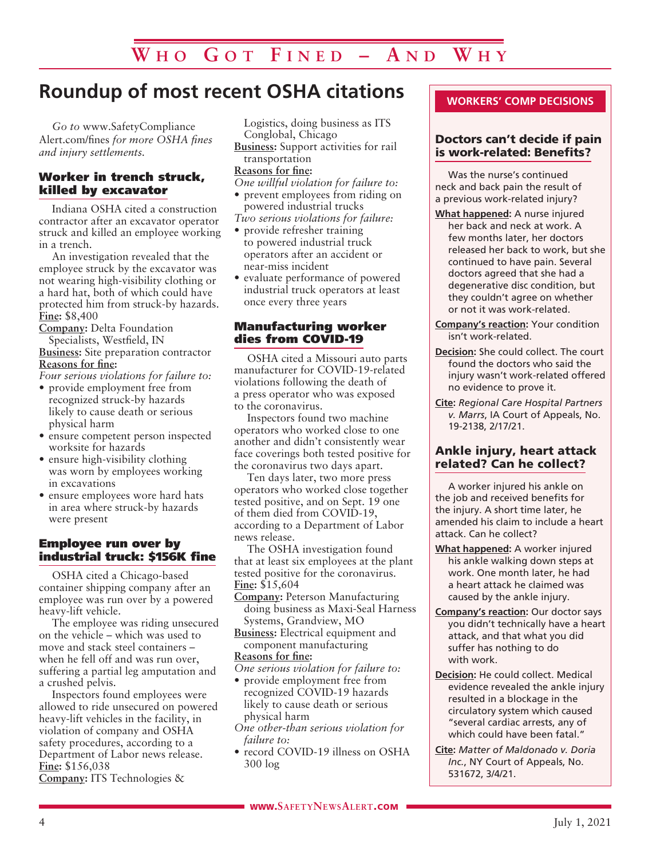# **Roundup of most recent OSHA citations**

*Go to* www.SafetyCompliance Alert.com/fines *for more OSHA fines and injury settlements.*

### Worker in trench struck, killed by excavator

Indiana OSHA cited a construction contractor after an excavator operator struck and killed an employee working in a trench.

An investigation revealed that the employee struck by the excavator was not wearing high-visibility clothing or a hard hat, both of which could have protected him from struck-by hazards. **Fine:** \$8,400

**Company:** Delta Foundation Specialists, Westfield, IN **Business:** Site preparation contractor

### **Reasons for fine:**

*Four serious violations for failure to:*

- provide employment free from recognized struck-by hazards likely to cause death or serious physical harm
- ensure competent person inspected worksite for hazards
- ensure high-visibility clothing was worn by employees working in excavations
- ensure employees wore hard hats in area where struck-by hazards were present

### Employee run over by industrial truck: \$156K fine

OSHA cited a Chicago-based container shipping company after an employee was run over by a powered heavy-lift vehicle.

The employee was riding unsecured on the vehicle – which was used to move and stack steel containers – when he fell off and was run over, suffering a partial leg amputation and a crushed pelvis.

Inspectors found employees were allowed to ride unsecured on powered heavy-lift vehicles in the facility, in violation of company and OSHA safety procedures, according to a Department of Labor news release. **Fine:** \$156,038

**Company:** ITS Technologies &

Logistics, doing business as ITS Conglobal, Chicago

**Business:** Support activities for rail transportation

### **Reasons for fine:**

*One willful violation for failure to:*

• prevent employees from riding on powered industrial trucks

*Two serious violations for failure:*

- provide refresher training to powered industrial truck operators after an accident or near-miss incident
- evaluate performance of powered industrial truck operators at least once every three years

### Manufacturing worker dies from COVID-19

OSHA cited a Missouri auto parts manufacturer for COVID-19-related violations following the death of a press operator who was exposed to the coronavirus.

Inspectors found two machine operators who worked close to one another and didn't consistently wear face coverings both tested positive for the coronavirus two days apart.

Ten days later, two more press operators who worked close together tested positive, and on Sept. 19 one of them died from COVID-19, according to a Department of Labor news release.

The OSHA investigation found that at least six employees at the plant tested positive for the coronavirus. **Fine:** \$15,604

**Company:** Peterson Manufacturing doing business as Maxi-Seal Harness Systems, Grandview, MO

**Business:** Electrical equipment and component manufacturing

### **Reasons for fine:**

*One serious violation for failure to:*

- provide employment free from recognized COVID-19 hazards likely to cause death or serious physical harm
- *One other-than serious violation for failure to:*
- record COVID-19 illness on OSHA 300 log

### **WORKERS' COMP DECISIONS**

### Doctors can't decide if pain is work-related: Benefits?

Was the nurse's continued neck and back pain the result of a previous work-related injury?

- **What happened:** A nurse injured her back and neck at work. A few months later, her doctors released her back to work, but she continued to have pain. Several doctors agreed that she had a degenerative disc condition, but they couldn't agree on whether or not it was work-related.
- **Company's reaction:** Your condition isn't work-related.
- **Decision:** She could collect. The court found the doctors who said the injury wasn't work-related offered no evidence to prove it.
- **Cite:** *Regional Care Hospital Partners v. Marrs*, IA Court of Appeals, No. 19-2138, 2/17/21.

### Ankle injury, heart attack related? Can he collect?

A worker injured his ankle on the job and received benefits for the injury. A short time later, he amended his claim to include a heart attack. Can he collect?

- **What happened:** A worker injured his ankle walking down steps at work. One month later, he had a heart attack he claimed was caused by the ankle injury.
- **Company's reaction:** Our doctor says you didn't technically have a heart attack, and that what you did suffer has nothing to do with work.
- **Decision:** He could collect. Medical evidence revealed the ankle injury resulted in a blockage in the circulatory system which caused "several cardiac arrests, any of which could have been fatal.
- **Cite:** *Matter of Maldonado v. Doria Inc.*, NY Court of Appeals, No. 531672, 3/4/21.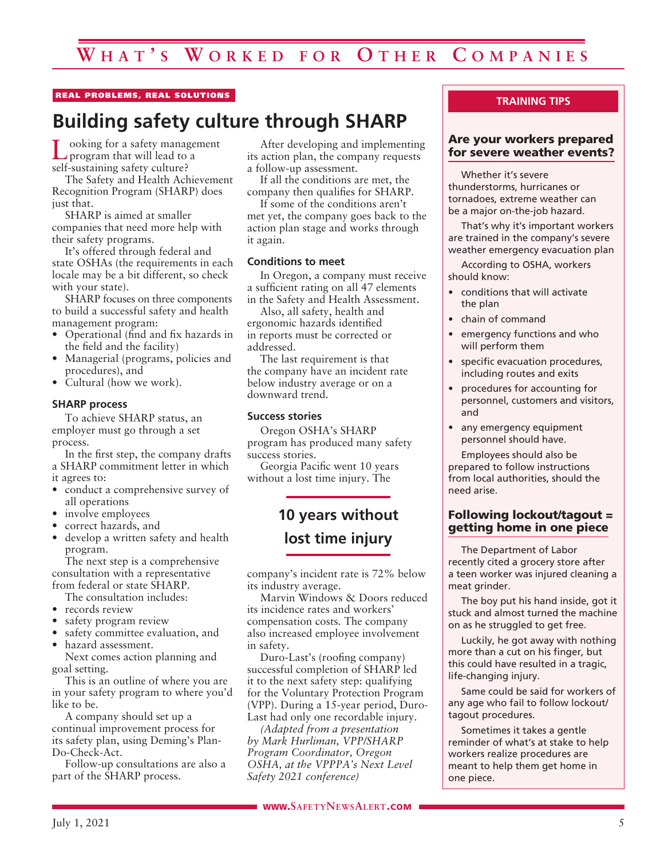### REAL PROBLEMS, REAL SOLUTIONS

# **Building safety culture through SHARP**

ooking for a safety management program that will lead to a self-sustaining safety culture?

The Safety and Health Achievement Recognition Program (SHARP) does just that.

SHARP is aimed at smaller companies that need more help with their safety programs.

It's offered through federal and state OSHAs (the requirements in each locale may be a bit different, so check with your state).

SHARP focuses on three components to build a successful safety and health management program:

- Operational (find and fix hazards in the field and the facility)
- Managerial (programs, policies and procedures), and
- Cultural (how we work).

### **SHARP process**

To achieve SHARP status, an employer must go through a set process.

In the first step, the company drafts a SHARP commitment letter in which it agrees to:

- conduct a comprehensive survey of all operations
- involve employees
- correct hazards, and
- develop a written safety and health program.

The next step is a comprehensive consultation with a representative from federal or state SHARP.

- The consultation includes:
- records review
- safety program review
- safety committee evaluation, and
- hazard assessment.

Next comes action planning and goal setting.

This is an outline of where you are in your safety program to where you'd like to be.

A company should set up a continual improvement process for its safety plan, using Deming's Plan-Do-Check-Act.

Follow-up consultations are also a part of the SHARP process.

After developing and implementing its action plan, the company requests a follow-up assessment.

If all the conditions are met, the company then qualifies for SHARP.

If some of the conditions aren't met yet, the company goes back to the action plan stage and works through it again.

### **Conditions to meet**

In Oregon, a company must receive a sufficient rating on all 47 elements in the Safety and Health Assessment.

Also, all safety, health and ergonomic hazards identified in reports must be corrected or addressed.

The last requirement is that the company have an incident rate below industry average or on a downward trend.

#### **Success stories**

Oregon OSHA's SHARP program has produced many safety success stories.

Georgia Pacific went 10 years without a lost time injury. The

# **10 years without lost time injury**

company's incident rate is 72% below its industry average.

Marvin Windows & Doors reduced its incidence rates and workers' compensation costs. The company also increased employee involvement in safety.

Duro-Last's (roofing company) successful completion of SHARP led it to the next safety step: qualifying for the Voluntary Protection Program (VPP). During a 15-year period, Duro-Last had only one recordable injury.

*(Adapted from a presentation by Mark Hurliman, VPP/SHARP Program Coordinator, Oregon OSHA, at the VPPPA's Next Level Safety 2021 conference)*

### **TRAINING TIPS**

### Are your workers prepared for severe weather events?

Whether it's severe thunderstorms, hurricanes or tornadoes, extreme weather can be a major on-the-job hazard.

That's why it's important workers are trained in the company's severe weather emergency evacuation plan

According to OSHA, workers should know:

- conditions that will activate the plan
- chain of command
- emergency functions and who will perform them
- specific evacuation procedures, including routes and exits
- procedures for accounting for personnel, customers and visitors, and
- any emergency equipment personnel should have.

Employees should also be prepared to follow instructions from local authorities, should the need arise.

### Following lockout/tagout = getting home in one piece

The Department of Labor recently cited a grocery store after a teen worker was injured cleaning a meat grinder.

The boy put his hand inside, got it stuck and almost turned the machine on as he struggled to get free.

Luckily, he got away with nothing more than a cut on his finger, but this could have resulted in a tragic, life-changing injury.

Same could be said for workers of any age who fail to follow lockout/ tagout procedures.

Sometimes it takes a gentle reminder of what's at stake to help workers realize procedures are meant to help them get home in one piece.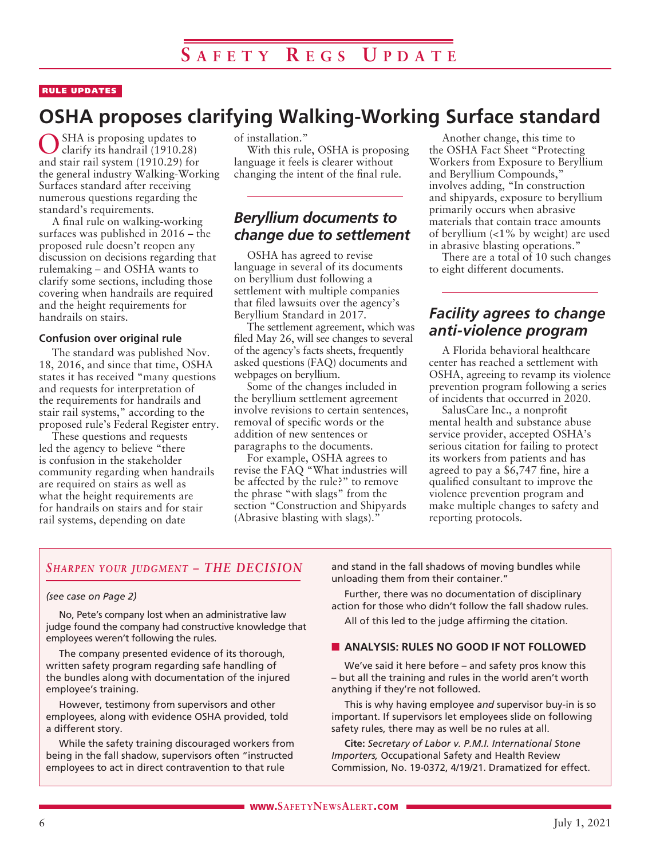### RULE UPDATES

# **OSHA proposes clarifying Walking-Working Surface standard**

SHA is proposing updates to clarify its handrail (1910.28) and stair rail system (1910.29) for the general industry Walking-Working Surfaces standard after receiving numerous questions regarding the standard's requirements.

A final rule on walking-working surfaces was published in 2016 – the proposed rule doesn't reopen any discussion on decisions regarding that rulemaking – and OSHA wants to clarify some sections, including those covering when handrails are required and the height requirements for handrails on stairs.

### **Confusion over original rule**

The standard was published Nov. 18, 2016, and since that time, OSHA states it has received "many questions and requests for interpretation of the requirements for handrails and stair rail systems," according to the proposed rule's Federal Register entry.

These questions and requests led the agency to believe "there is confusion in the stakeholder community regarding when handrails are required on stairs as well as what the height requirements are for handrails on stairs and for stair rail systems, depending on date

of installation."

With this rule, OSHA is proposing language it feels is clearer without changing the intent of the final rule.

### *Beryllium documents to change due to settlement*

OSHA has agreed to revise language in several of its documents on beryllium dust following a settlement with multiple companies that filed lawsuits over the agency's Beryllium Standard in 2017.

The settlement agreement, which was filed May 26, will see changes to several of the agency's facts sheets, frequently asked questions (FAQ) documents and webpages on beryllium.

Some of the changes included in the beryllium settlement agreement involve revisions to certain sentences, removal of specific words or the addition of new sentences or paragraphs to the documents.

For example, OSHA agrees to revise the FAQ "What industries will be affected by the rule?" to remove the phrase "with slags" from the section "Construction and Shipyards (Abrasive blasting with slags)."

Another change, this time to the OSHA Fact Sheet "Protecting Workers from Exposure to Beryllium and Beryllium Compounds," involves adding, "In construction and shipyards, exposure to beryllium primarily occurs when abrasive materials that contain trace amounts of beryllium  $\langle 1\%$  by weight) are used in abrasive blasting operations."

There are a total of 10 such changes to eight different documents.

### *Facility agrees to change anti-violence program*

A Florida behavioral healthcare center has reached a settlement with OSHA, agreeing to revamp its violence prevention program following a series of incidents that occurred in 2020.

SalusCare Inc., a nonprofit mental health and substance abuse service provider, accepted OSHA's serious citation for failing to protect its workers from patients and has agreed to pay a \$6,747 fine, hire a qualified consultant to improve the violence prevention program and make multiple changes to safety and reporting protocols.

### *Sharpen your judgment – THE DECISION*

#### *(see case on Page 2)*

No, Pete's company lost when an administrative law judge found the company had constructive knowledge that employees weren't following the rules.

The company presented evidence of its thorough, written safety program regarding safe handling of the bundles along with documentation of the injured employee's training.

However, testimony from supervisors and other employees, along with evidence OSHA provided, told a different story.

While the safety training discouraged workers from being in the fall shadow, supervisors often "instructed employees to act in direct contravention to that rule

and stand in the fall shadows of moving bundles while unloading them from their container."

Further, there was no documentation of disciplinary action for those who didn't follow the fall shadow rules.

All of this led to the judge affirming the citation.

#### **N ANALYSIS: RULES NO GOOD IF NOT FOLLOWED**

We've said it here before – and safety pros know this – but all the training and rules in the world aren't worth anything if they're not followed.

This is why having employee *and* supervisor buy-in is so important. If supervisors let employees slide on following safety rules, there may as well be no rules at all.

**Cite:** *Secretary of Labor v. P.M.I. International Stone Importers,* Occupational Safety and Health Review Commission, No. 19-0372, 4/19/21. Dramatized for effect.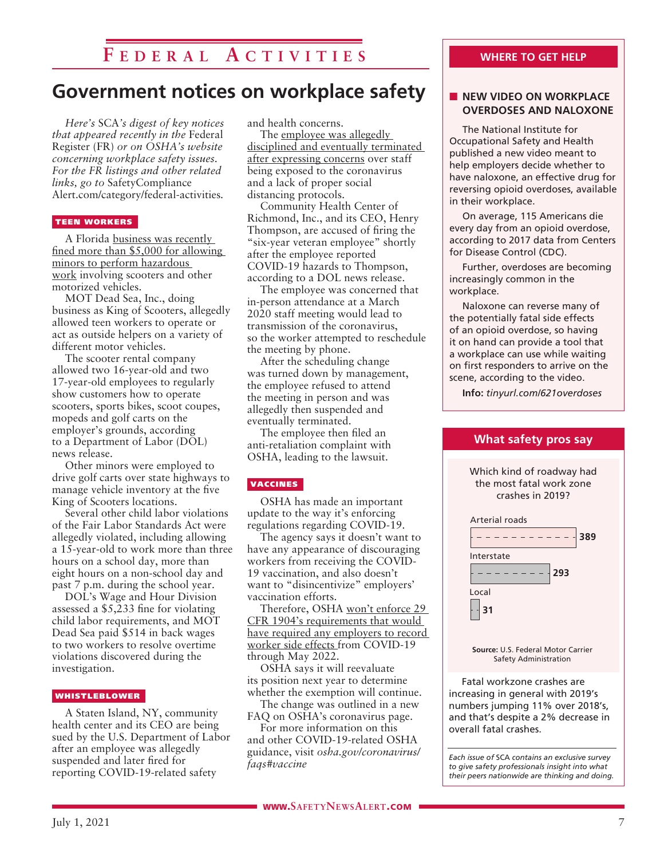## **F e d e r a l A ct i v i t i e s**

# **Government notices on workplace safety**

*Here's* SCA*'s digest of key notices that appeared recently in the* Federal Register (FR) *or on OSHA's website concerning workplace safety issues. For the FR listings and other related links, go to* SafetyCompliance Alert.com/category/federal-activities*.*

### TEEN WORKERS

A Florida business was recently fined more than \$5,000 for allowing minors to perform hazardous work involving scooters and other motorized vehicles.

MOT Dead Sea, Inc., doing business as King of Scooters, allegedly allowed teen workers to operate or act as outside helpers on a variety of different motor vehicles.

The scooter rental company allowed two 16-year-old and two 17-year-old employees to regularly show customers how to operate scooters, sports bikes, scoot coupes, mopeds and golf carts on the employer's grounds, according to a Department of Labor (DOL) news release.

Other minors were employed to drive golf carts over state highways to manage vehicle inventory at the five King of Scooters locations.

Several other child labor violations of the Fair Labor Standards Act were allegedly violated, including allowing a 15-year-old to work more than three hours on a school day, more than eight hours on a non-school day and past 7 p.m. during the school year.

DOL's Wage and Hour Division assessed a \$5,233 fine for violating child labor requirements, and MOT Dead Sea paid \$514 in back wages to two workers to resolve overtime violations discovered during the investigation.

#### WHISTLEBLOWER

A Staten Island, NY, community health center and its CEO are being sued by the U.S. Department of Labor after an employee was allegedly suspended and later fired for reporting COVID-19-related safety

and health concerns.

The employee was allegedly disciplined and eventually terminated after expressing concerns over staff being exposed to the coronavirus and a lack of proper social distancing protocols.

Community Health Center of Richmond, Inc., and its CEO, Henry Thompson, are accused of firing the "six-year veteran employee" shortly after the employee reported COVID-19 hazards to Thompson, according to a DOL news release.

The employee was concerned that in-person attendance at a March 2020 staff meeting would lead to transmission of the coronavirus, so the worker attempted to reschedule the meeting by phone.

After the scheduling change was turned down by management, the employee refused to attend the meeting in person and was allegedly then suspended and eventually terminated.

The employee then filed an anti-retaliation complaint with OSHA, leading to the lawsuit.

#### **VACCINES**

OSHA has made an important update to the way it's enforcing regulations regarding COVID-19.

The agency says it doesn't want to have any appearance of discouraging workers from receiving the COVID-19 vaccination, and also doesn't want to "disincentivize" employers' vaccination efforts.

Therefore, OSHA won't enforce 29 CFR 1904's requirements that would have required any employers to record worker side effects from COVID-19 through May 2022.

OSHA says it will reevaluate its position next year to determine whether the exemption will continue.

The change was outlined in a new FAQ on OSHA's coronavirus page.

For more information on this and other COVID-19-related OSHA guidance, visit *osha.gov/coronavirus/ faqs#vaccine*

### **NEW VIDEO ON WORKPLACE OVERDOSES AND NALOXONE**

The National Institute for Occupational Safety and Health published a new video meant to help employers decide whether to have naloxone, an effective drug for reversing opioid overdoses, available in their workplace.

On average, 115 Americans die every day from an opioid overdose, according to 2017 data from Centers for Disease Control (CDC).

Further, overdoses are becoming increasingly common in the workplace.

Naloxone can reverse many of the potentially fatal side effects of an opioid overdose, so having it on hand can provide a tool that a workplace can use while waiting on first responders to arrive on the scene, according to the video.

**Info:** *tinyurl.com/621overdoses*

### **What safety pros say**

Which kind of roadway had the most fatal work zone crashes in 2019? Arterial roads **389**  $- - - - - -$ Interstate **293** Local **31 Source:** U.S. Federal Motor Carrier Safety Administration

Fatal workzone crashes are increasing in general with 2019's numbers jumping 11% over 2018's, and that's despite a 2% decrease in overall fatal crashes.

*Each issue of* SCA *contains an exclusive survey to give safety professionals insight into what their peers nationwide are thinking and doing.*